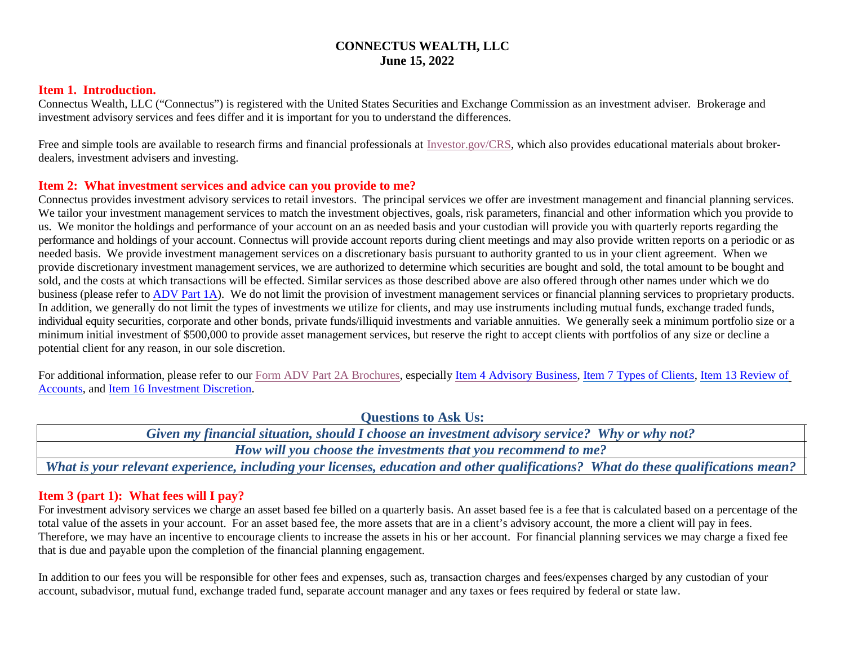## **CONNECTUS WEALTH, LLC June 15, 2022**

#### **Item 1. Introduction.**

Connectus Wealth, LLC ("Connectus") is registered with the United States Securities and Exchange Commission as an investment adviser. Brokerage and investment advisory services and fees differ and it is important for you to understand the differences.

Free and simple tools are available to research firms and financial professionals at [Investor.gov/CRS,](https://www.investor.gov/CRS) which also provides educational materials about brokerdealers, investment advisers and investing.

### **Item 2: What investment services and advice can you provide to me?**

Connectus provides investment advisory services to retail investors. The principal services we offer are investment management and financial planning services. We tailor your investment management services to match the investment objectives, goals, risk parameters, financial and other information which you provide to us. We monitor the holdings and performance of your account on an as needed basis and your custodian will provide you with quarterly reports regarding the performance and holdings of your account. Connectus will provide account reports during client meetings and may also provide written reports on a periodic or as needed basis. We provide investment management services on a discretionary basis pursuant to authority granted to us in your client agreement. When we provide discretionary investment management services, we are authorized to determine which securities are bought and sold, the total amount to be bought and sold, and the costs at which transactions will be effected. Similar services as those described above are also offered through other names under which we do business (please refer to [ADV Part 1A\)](https://adviserinfo.sec.gov/firm/summary/310912). We do not limit the provision of investment management services or financial planning services to proprietary products. In addition, we generally do not limit the types of investments we utilize for clients, and may use instruments including mutual funds, exchange traded funds, individual equity securities, corporate and other bonds, private funds/illiquid investments and variable annuities. We generally seek a minimum portfolio size or a minimum initial investment of \$500,000 to provide asset management services, but reserve the right to accept clients with portfolios of any size or decline a potential client for any reason, in our sole discretion.

For additional information, please refer to our Form [ADV Part 2A Brochures,](https://files.adviserinfo.sec.gov/IAPD/Content/Common/crd_iapd_Brochure.aspx?BRCHR_VRSN_ID=778170) especially [Item 4 Advisory Business,](https://files.adviserinfo.sec.gov/IAPD/Content/Common/crd_iapd_Brochure.aspx?BRCHR_VRSN_ID=778170#page=5) [Item 7 Types of Clients,](https://files.adviserinfo.sec.gov/IAPD/Content/Common/crd_iapd_Brochure.aspx?BRCHR_VRSN_ID=778170#page=12) [Item 13 Review of](https://files.adviserinfo.sec.gov/IAPD/Content/Common/crd_iapd_Brochure.aspx?BRCHR_VRSN_ID=778170#page=25) [Accounts,](https://files.adviserinfo.sec.gov/IAPD/Content/Common/crd_iapd_Brochure.aspx?BRCHR_VRSN_ID=778170#page=25) and [Item 16 Investment Discretion.](https://files.adviserinfo.sec.gov/IAPD/Content/Common/crd_iapd_Brochure.aspx?BRCHR_VRSN_ID=778170#page=27)

**Questions to Ask Us:**

| <b>OUESHOIIS to ASK US.</b>                                                                                                       |
|-----------------------------------------------------------------------------------------------------------------------------------|
| Given my financial situation, should I choose an investment advisory service? Why or why not?                                     |
| How will you choose the investments that you recommend to me?                                                                     |
| What is your relevant experience, including your licenses, education and other qualifications? What do these qualifications mean? |

## **Item 3 (part 1): What fees will I pay?**

For investment advisory services we charge an asset based fee billed on a quarterly basis. An asset based fee is a fee that is calculated based on a percentage of the total value of the assets in your account. For an asset based fee, the more assets that are in a client's advisory account, the more a client will pay in fees. Therefore, we may have an incentive to encourage clients to increase the assets in his or her account. For financial planning services we may charge a fixed fee that is due and payable upon the completion of the financial planning engagement.

In addition to our fees you will be responsible for other fees and expenses, such as, transaction charges and fees/expenses charged by any custodian of your account, subadvisor, mutual fund, exchange traded fund, separate account manager and any taxes or fees required by federal or state law.